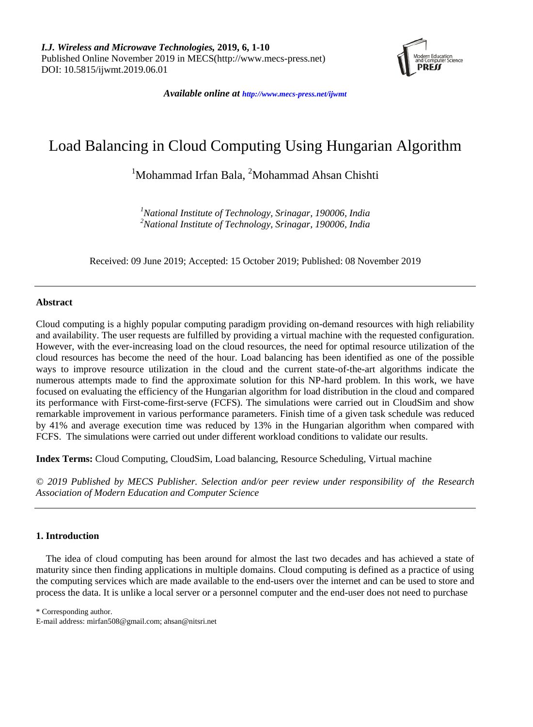

*Available online at <http://www.mecs-press.net/ijwmt>*

# Load Balancing in Cloud Computing Using Hungarian Algorithm

<sup>1</sup>Mohammad Irfan Bala, <sup>2</sup>Mohammad Ahsan Chishti

*<sup>1</sup>National Institute of Technology, Srinagar, 190006, India <sup>2</sup>National Institute of Technology, Srinagar, 190006, India*

Received: 09 June 2019; Accepted: 15 October 2019; Published: 08 November 2019

## **Abstract**

Cloud computing is a highly popular computing paradigm providing on-demand resources with high reliability and availability. The user requests are fulfilled by providing a virtual machine with the requested configuration. However, with the ever-increasing load on the cloud resources, the need for optimal resource utilization of the cloud resources has become the need of the hour. Load balancing has been identified as one of the possible ways to improve resource utilization in the cloud and the current state-of-the-art algorithms indicate the numerous attempts made to find the approximate solution for this NP-hard problem. In this work, we have focused on evaluating the efficiency of the Hungarian algorithm for load distribution in the cloud and compared its performance with First-come-first-serve (FCFS). The simulations were carried out in CloudSim and show remarkable improvement in various performance parameters. Finish time of a given task schedule was reduced by 41% and average execution time was reduced by 13% in the Hungarian algorithm when compared with FCFS. The simulations were carried out under different workload conditions to validate our results.

**Index Terms:** Cloud Computing, CloudSim, Load balancing, Resource Scheduling, Virtual machine

*© 2019 Published by MECS Publisher. Selection and/or peer review under responsibility of the Research Association of Modern Education and Computer Science*

## **1. Introduction**

The idea of cloud computing has been around for almost the last two decades and has achieved a state of maturity since then finding applications in multiple domains. Cloud computing is defined as a practice of using the computing services which are made available to the end-users over the internet and can be used to store and process the data. It is unlike a local server or a personnel computer and the end-user does not need to purchase

\* Corresponding author.

E-mail address: mirfan508@gmail.com; ahsan@nitsri.net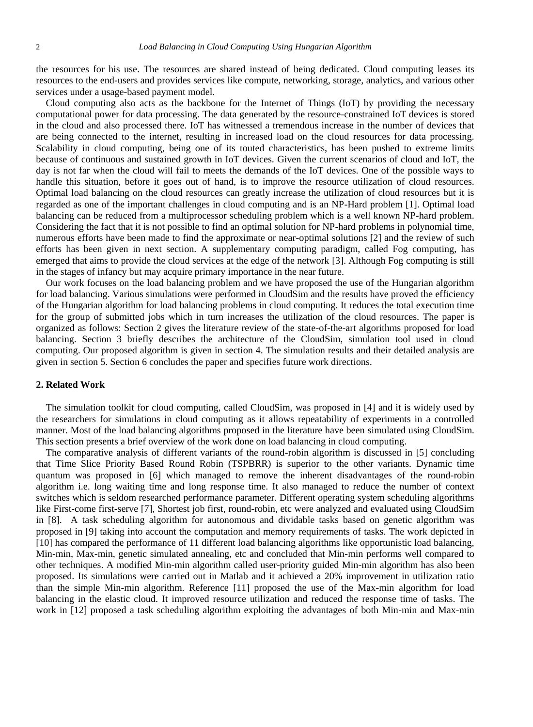the resources for his use. The resources are shared instead of being dedicated. Cloud computing leases its resources to the end-users and provides services like compute, networking, storage, analytics, and various other services under a usage-based payment model.

Cloud computing also acts as the backbone for the Internet of Things (IoT) by providing the necessary computational power for data processing. The data generated by the resource-constrained IoT devices is stored in the cloud and also processed there. IoT has witnessed a tremendous increase in the number of devices that are being connected to the internet, resulting in increased load on the cloud resources for data processing. Scalability in cloud computing, being one of its touted characteristics, has been pushed to extreme limits because of continuous and sustained growth in IoT devices. Given the current scenarios of cloud and IoT, the day is not far when the cloud will fail to meets the demands of the IoT devices. One of the possible ways to handle this situation, before it goes out of hand, is to improve the resource utilization of cloud resources. Optimal load balancing on the cloud resources can greatly increase the utilization of cloud resources but it is regarded as one of the important challenges in cloud computing and is an NP-Hard problem [1]. Optimal load balancing can be reduced from a multiprocessor scheduling problem which is a well known NP-hard problem. Considering the fact that it is not possible to find an optimal solution for NP-hard problems in polynomial time, numerous efforts have been made to find the approximate or near-optimal solutions [2] and the review of such efforts has been given in next section. A supplementary computing paradigm, called Fog computing, has emerged that aims to provide the cloud services at the edge of the network [3]. Although Fog computing is still in the stages of infancy but may acquire primary importance in the near future.

Our work focuses on the load balancing problem and we have proposed the use of the Hungarian algorithm for load balancing. Various simulations were performed in CloudSim and the results have proved the efficiency of the Hungarian algorithm for load balancing problems in cloud computing. It reduces the total execution time for the group of submitted jobs which in turn increases the utilization of the cloud resources. The paper is organized as follows: Section 2 gives the literature review of the state-of-the-art algorithms proposed for load balancing. Section 3 briefly describes the architecture of the CloudSim, simulation tool used in cloud computing. Our proposed algorithm is given in section 4. The simulation results and their detailed analysis are given in section 5. Section 6 concludes the paper and specifies future work directions.

#### **2. Related Work**

The simulation toolkit for cloud computing, called CloudSim, was proposed in [4] and it is widely used by the researchers for simulations in cloud computing as it allows repeatability of experiments in a controlled manner. Most of the load balancing algorithms proposed in the literature have been simulated using CloudSim. This section presents a brief overview of the work done on load balancing in cloud computing.

The comparative analysis of different variants of the round-robin algorithm is discussed in [5] concluding that Time Slice Priority Based Round Robin (TSPBRR) is superior to the other variants. Dynamic time quantum was proposed in [6] which managed to remove the inherent disadvantages of the round-robin algorithm i.e. long waiting time and long response time. It also managed to reduce the number of context switches which is seldom researched performance parameter. Different operating system scheduling algorithms like First-come first-serve [7], Shortest job first, round-robin, etc were analyzed and evaluated using CloudSim in [8]. A task scheduling algorithm for autonomous and dividable tasks based on genetic algorithm was proposed in [9] taking into account the computation and memory requirements of tasks. The work depicted in [10] has compared the performance of 11 different load balancing algorithms like opportunistic load balancing, Min-min, Max-min, genetic simulated annealing, etc and concluded that Min-min performs well compared to other techniques. A modified Min-min algorithm called user-priority guided Min-min algorithm has also been proposed. Its simulations were carried out in Matlab and it achieved a 20% improvement in utilization ratio than the simple Min-min algorithm. Reference [11] proposed the use of the Max-min algorithm for load balancing in the elastic cloud. It improved resource utilization and reduced the response time of tasks. The work in [12] proposed a task scheduling algorithm exploiting the advantages of both Min-min and Max-min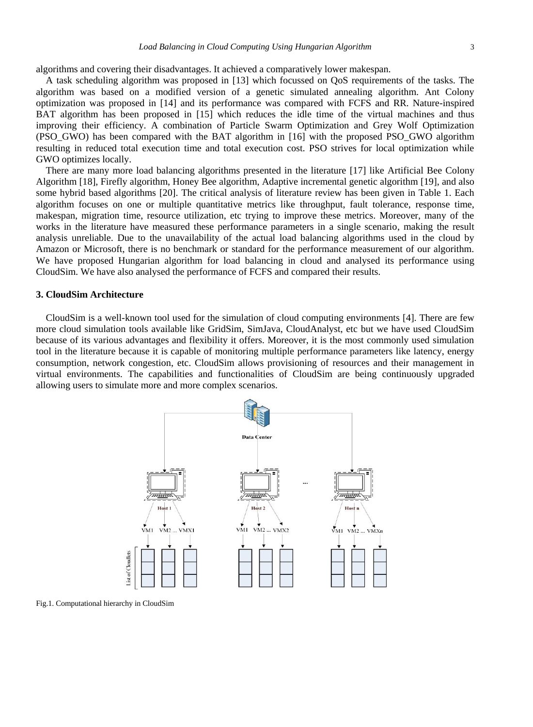algorithms and covering their disadvantages. It achieved a comparatively lower makespan.

A task scheduling algorithm was proposed in [13] which focussed on QoS requirements of the tasks. The algorithm was based on a modified version of a genetic simulated annealing algorithm. Ant Colony optimization was proposed in [14] and its performance was compared with FCFS and RR. Nature-inspired BAT algorithm has been proposed in [15] which reduces the idle time of the virtual machines and thus improving their efficiency. A combination of Particle Swarm Optimization and Grey Wolf Optimization (PSO\_GWO) has been compared with the BAT algorithm in [16] with the proposed PSO\_GWO algorithm resulting in reduced total execution time and total execution cost. PSO strives for local optimization while GWO optimizes locally.

There are many more load balancing algorithms presented in the literature [17] like Artificial Bee Colony Algorithm [18], Firefly algorithm, Honey Bee algorithm, Adaptive incremental genetic algorithm [19], and also some hybrid based algorithms [20]. The critical analysis of literature review has been given in Table 1. Each algorithm focuses on one or multiple quantitative metrics like throughput, fault tolerance, response time, makespan, migration time, resource utilization, etc trying to improve these metrics. Moreover, many of the works in the literature have measured these performance parameters in a single scenario, making the result analysis unreliable. Due to the unavailability of the actual load balancing algorithms used in the cloud by Amazon or Microsoft, there is no benchmark or standard for the performance measurement of our algorithm. We have proposed Hungarian algorithm for load balancing in cloud and analysed its performance using CloudSim. We have also analysed the performance of FCFS and compared their results.

#### **3. CloudSim Architecture**

CloudSim is a well-known tool used for the simulation of cloud computing environments [4]. There are few more cloud simulation tools available like GridSim, SimJava, CloudAnalyst, etc but we have used CloudSim because of its various advantages and flexibility it offers. Moreover, it is the most commonly used simulation tool in the literature because it is capable of monitoring multiple performance parameters like latency, energy consumption, network congestion, etc. CloudSim allows provisioning of resources and their management in virtual environments. The capabilities and functionalities of CloudSim are being continuously upgraded allowing users to simulate more and more complex scenarios.



Fig.1. Computational hierarchy in CloudSim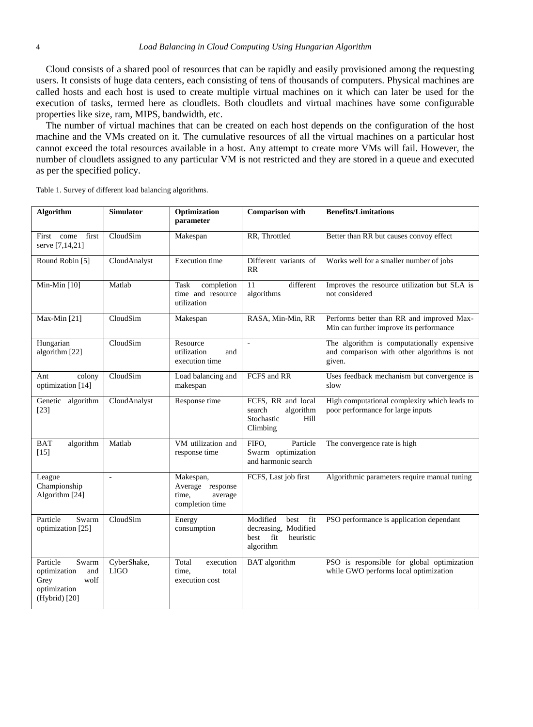Cloud consists of a shared pool of resources that can be rapidly and easily provisioned among the requesting users. It consists of huge data centers, each consisting of tens of thousands of computers. Physical machines are called hosts and each host is used to create multiple virtual machines on it which can later be used for the execution of tasks, termed here as cloudlets. Both cloudlets and virtual machines have some configurable properties like size, ram, MIPS, bandwidth, etc.

The number of virtual machines that can be created on each host depends on the configuration of the host machine and the VMs created on it. The cumulative resources of all the virtual machines on a particular host cannot exceed the total resources available in a host. Any attempt to create more VMs will fail. However, the number of cloudlets assigned to any particular VM is not restricted and they are stored in a queue and executed as per the specified policy.

Table 1. Survey of different load balancing algorithms.

| Algorithm                                                                                 | <b>Simulator</b>           | Optimization<br>parameter                                            | <b>Comparison</b> with                                                                | <b>Benefits/Limitations</b>                                                                         |  |  |
|-------------------------------------------------------------------------------------------|----------------------------|----------------------------------------------------------------------|---------------------------------------------------------------------------------------|-----------------------------------------------------------------------------------------------------|--|--|
| first<br>First come<br>serve [7,14,21]                                                    | CloudSim                   | Makespan                                                             | RR, Throttled                                                                         | Better than RR but causes convoy effect                                                             |  |  |
| Round Robin [5]                                                                           | CloudAnalyst               | <b>Execution</b> time                                                | Different variants of<br>RR                                                           | Works well for a smaller number of jobs                                                             |  |  |
| Min-Min [10]                                                                              | Matlab                     | Task<br>completion<br>time and resource<br>utilization               | different<br>11<br>algorithms                                                         | Improves the resource utilization but SLA is<br>not considered                                      |  |  |
| Max-Min [21]                                                                              | CloudSim                   | Makespan                                                             | RASA, Min-Min, RR                                                                     | Performs better than RR and improved Max-<br>Min can further improve its performance                |  |  |
| Hungarian<br>algorithm [22]                                                               | CloudSim                   | Resource<br>utilization<br>and<br>execution time                     | $\overline{a}$                                                                        | The algorithm is computationally expensive<br>and comparison with other algorithms is not<br>given. |  |  |
| colony<br>Ant<br>optimization [14]                                                        | CloudSim                   | Load balancing and<br>makespan                                       | FCFS and RR                                                                           | Uses feedback mechanism but convergence is<br>slow                                                  |  |  |
| Genetic<br>algorithm<br>$[23]$                                                            | CloudAnalyst               | Response time                                                        | FCFS, RR and local<br>algorithm<br>search<br>Stochastic<br>Hill<br>Climbing           | High computational complexity which leads to<br>poor performance for large inputs                   |  |  |
| <b>BAT</b><br>algorithm<br>$[15]$                                                         | Matlab                     | VM utilization and<br>response time                                  | Particle<br>FIFO.<br>Swarm optimization<br>and harmonic search                        | The convergence rate is high                                                                        |  |  |
| League<br>Championship<br>Algorithm [24]                                                  | $\overline{a}$             | Makespan,<br>Average response<br>average<br>time.<br>completion time | FCFS, Last job first                                                                  | Algorithmic parameters require manual tuning                                                        |  |  |
| Particle<br>Swarm<br>optimization [25]                                                    | CloudSim                   | Energy<br>consumption                                                | Modified<br>best<br>fit<br>decreasing, Modified<br>best fit<br>heuristic<br>algorithm | PSO performance is application dependant                                                            |  |  |
| Particle<br>Swarm<br>and<br>optimization<br>Grey<br>wolf<br>optimization<br>(Hybrid) [20] | CyberShake,<br><b>LIGO</b> | Total<br>execution<br>time,<br>total<br>execution cost               | <b>BAT</b> algorithm                                                                  | PSO is responsible for global optimization<br>while GWO performs local optimization                 |  |  |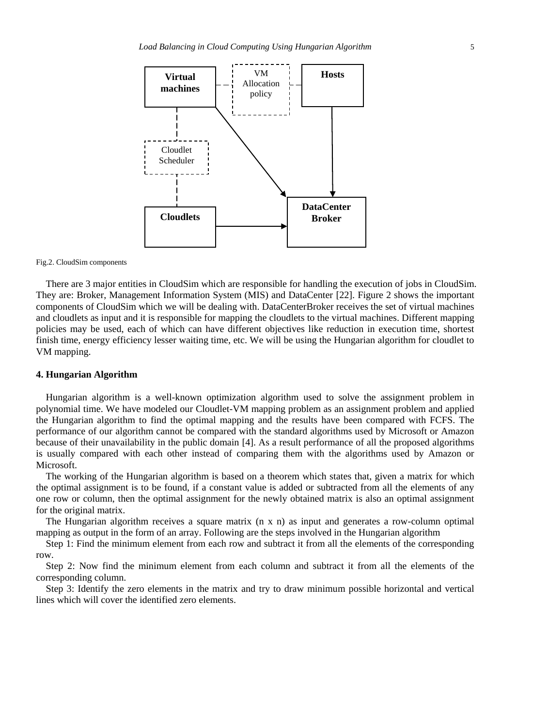

#### Fig.2. CloudSim components

There are 3 major entities in CloudSim which are responsible for handling the execution of jobs in CloudSim. They are: Broker, Management Information System (MIS) and DataCenter [22]. Figure 2 shows the important components of CloudSim which we will be dealing with. DataCenterBroker receives the set of virtual machines and cloudlets as input and it is responsible for mapping the cloudlets to the virtual machines. Different mapping policies may be used, each of which can have different objectives like reduction in execution time, shortest finish time, energy efficiency lesser waiting time, etc. We will be using the Hungarian algorithm for cloudlet to VM mapping.

#### **4. Hungarian Algorithm**

Hungarian algorithm is a well-known optimization algorithm used to solve the assignment problem in polynomial time. We have modeled our Cloudlet-VM mapping problem as an assignment problem and applied the Hungarian algorithm to find the optimal mapping and the results have been compared with FCFS. The performance of our algorithm cannot be compared with the standard algorithms used by Microsoft or Amazon because of their unavailability in the public domain [4]. As a result performance of all the proposed algorithms is usually compared with each other instead of comparing them with the algorithms used by Amazon or Microsoft.

The working of the Hungarian algorithm is based on a theorem which states that, given a matrix for which the optimal assignment is to be found, if a constant value is added or subtracted from all the elements of any one row or column, then the optimal assignment for the newly obtained matrix is also an optimal assignment for the original matrix.

The Hungarian algorithm receives a square matrix (n x n) as input and generates a row-column optimal mapping as output in the form of an array. Following are the steps involved in the Hungarian algorithm

Step 1: Find the minimum element from each row and subtract it from all the elements of the corresponding row.

Step 2: Now find the minimum element from each column and subtract it from all the elements of the corresponding column.

Step 3: Identify the zero elements in the matrix and try to draw minimum possible horizontal and vertical lines which will cover the identified zero elements.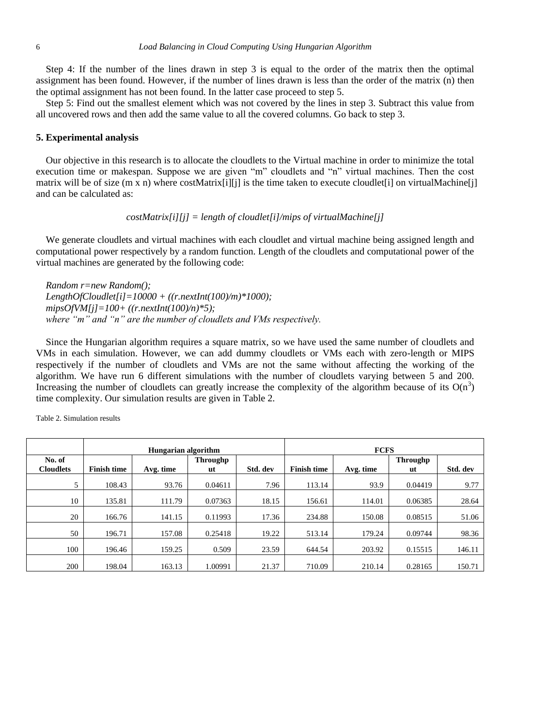Step 4: If the number of the lines drawn in step 3 is equal to the order of the matrix then the optimal assignment has been found. However, if the number of lines drawn is less than the order of the matrix (n) then the optimal assignment has not been found. In the latter case proceed to step 5.

Step 5: Find out the smallest element which was not covered by the lines in step 3. Subtract this value from all uncovered rows and then add the same value to all the covered columns. Go back to step 3.

#### **5. Experimental analysis**

Our objective in this research is to allocate the cloudlets to the Virtual machine in order to minimize the total execution time or makespan. Suppose we are given "m" cloudlets and "n" virtual machines. Then the cost matrix will be of size (m x n) where costMatrix[i][j] is the time taken to execute cloudlet[i] on virtualMachine[j] and can be calculated as:

### *costMatrix[i][j] = length of cloudlet[i]/mips of virtualMachine[j]*

We generate cloudlets and virtual machines with each cloudlet and virtual machine being assigned length and computational power respectively by a random function. Length of the cloudlets and computational power of the virtual machines are generated by the following code:

*Random r=new Random(); LengthOfCloudlet[i]=10000 + ((r.nextInt(100)/m)\*1000); mipsOfVM[j]=100+ ((r.nextInt(100)/n)\*5); where "m" and "n" are the number of cloudlets and VMs respectively.* 

Since the Hungarian algorithm requires a square matrix, so we have used the same number of cloudlets and VMs in each simulation. However, we can add dummy cloudlets or VMs each with zero-length or MIPS respectively if the number of cloudlets and VMs are not the same without affecting the working of the algorithm. We have run 6 different simulations with the number of cloudlets varying between 5 and 200. Increasing the number of cloudlets can greatly increase the complexity of the algorithm because of its  $O(n^3)$ time complexity. Our simulation results are given in Table 2.

|                            |                    | Hungarian algorithm |                |          | <b>FCFS</b>        |           |                |          |
|----------------------------|--------------------|---------------------|----------------|----------|--------------------|-----------|----------------|----------|
| No. of<br><b>Cloudlets</b> | <b>Finish time</b> | Avg. time           | Throughp<br>ut | Std. dev | <b>Finish time</b> | Avg. time | Throughp<br>ut | Std. dev |
| 5                          | 108.43             | 93.76               | 0.04611        | 7.96     | 113.14             | 93.9      | 0.04419        | 9.77     |
| 10                         | 135.81             | 111.79              | 0.07363        | 18.15    | 156.61             | 114.01    | 0.06385        | 28.64    |
| 20                         | 166.76             | 141.15              | 0.11993        | 17.36    | 234.88             | 150.08    | 0.08515        | 51.06    |
| 50                         | 196.71             | 157.08              | 0.25418        | 19.22    | 513.14             | 179.24    | 0.09744        | 98.36    |
| 100                        | 196.46             | 159.25              | 0.509          | 23.59    | 644.54             | 203.92    | 0.15515        | 146.11   |
| 200                        | 198.04             | 163.13              | 1.00991        | 21.37    | 710.09             | 210.14    | 0.28165        | 150.71   |

Table 2. Simulation results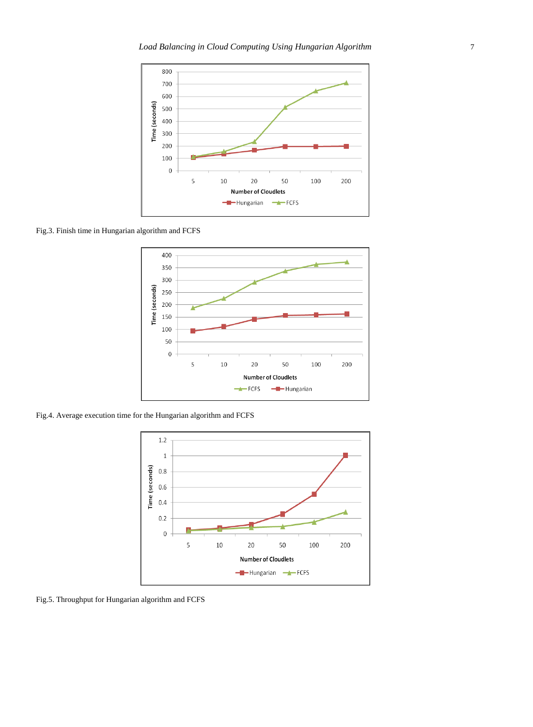

Fig.3. Finish time in Hungarian algorithm and FCFS



Fig.4. Average execution time for the Hungarian algorithm and FCFS



Fig.5. Throughput for Hungarian algorithm and FCFS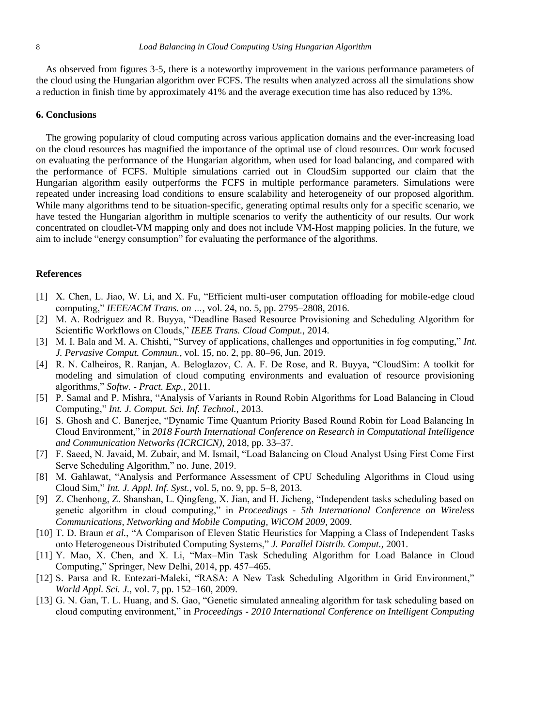As observed from figures 3-5, there is a noteworthy improvement in the various performance parameters of the cloud using the Hungarian algorithm over FCFS. The results when analyzed across all the simulations show a reduction in finish time by approximately 41% and the average execution time has also reduced by 13%.

## **6. Conclusions**

The growing popularity of cloud computing across various application domains and the ever-increasing load on the cloud resources has magnified the importance of the optimal use of cloud resources. Our work focused on evaluating the performance of the Hungarian algorithm, when used for load balancing, and compared with the performance of FCFS. Multiple simulations carried out in CloudSim supported our claim that the Hungarian algorithm easily outperforms the FCFS in multiple performance parameters. Simulations were repeated under increasing load conditions to ensure scalability and heterogeneity of our proposed algorithm. While many algorithms tend to be situation-specific, generating optimal results only for a specific scenario, we have tested the Hungarian algorithm in multiple scenarios to verify the authenticity of our results. Our work concentrated on cloudlet-VM mapping only and does not include VM-Host mapping policies. In the future, we aim to include "energy consumption" for evaluating the performance of the algorithms.

## **References**

- [1] X. Chen, L. Jiao, W. Li, and X. Fu, "Efficient multi-user computation offloading for mobile-edge cloud computing," *IEEE/ACM Trans. on …*, vol. 24, no. 5, pp. 2795–2808, 2016.
- [2] M. A. Rodriguez and R. Buyya, "Deadline Based Resource Provisioning and Scheduling Algorithm for Scientific Workflows on Clouds," *IEEE Trans. Cloud Comput.*, 2014.
- [3] M. I. Bala and M. A. Chishti, "Survey of applications, challenges and opportunities in fog computing," *Int. J. Pervasive Comput. Commun.*, vol. 15, no. 2, pp. 80–96, Jun. 2019.
- [4] R. N. Calheiros, R. Ranjan, A. Beloglazov, C. A. F. De Rose, and R. Buyya, "CloudSim: A toolkit for modeling and simulation of cloud computing environments and evaluation of resource provisioning algorithms," *Softw. - Pract. Exp.*, 2011.
- [5] P. Samal and P. Mishra, "Analysis of Variants in Round Robin Algorithms for Load Balancing in Cloud Computing," *Int. J. Comput. Sci. Inf. Technol.*, 2013.
- [6] S. Ghosh and C. Banerjee, "Dynamic Time Quantum Priority Based Round Robin for Load Balancing In Cloud Environment," in *2018 Fourth International Conference on Research in Computational Intelligence and Communication Networks (ICRCICN)*, 2018, pp. 33–37.
- [7] F. Saeed, N. Javaid, M. Zubair, and M. Ismail, "Load Balancing on Cloud Analyst Using First Come First Serve Scheduling Algorithm," no. June, 2019.
- [8] M. Gahlawat, "Analysis and Performance Assessment of CPU Scheduling Algorithms in Cloud using Cloud Sim," *Int. J. Appl. Inf. Syst.*, vol. 5, no. 9, pp. 5–8, 2013.
- [9] Z. Chenhong, Z. Shanshan, L. Qingfeng, X. Jian, and H. Jicheng, "Independent tasks scheduling based on genetic algorithm in cloud computing," in *Proceedings - 5th International Conference on Wireless Communications, Networking and Mobile Computing, WiCOM 2009*, 2009.
- [10] T. D. Braun *et al.*, "A Comparison of Eleven Static Heuristics for Mapping a Class of Independent Tasks onto Heterogeneous Distributed Computing Systems," *J. Parallel Distrib. Comput.*, 2001.
- [11] Y. Mao, X. Chen, and X. Li, "Max–Min Task Scheduling Algorithm for Load Balance in Cloud Computing," Springer, New Delhi, 2014, pp. 457–465.
- [12] S. Parsa and R. Entezari-Maleki, "RASA: A New Task Scheduling Algorithm in Grid Environment," *World Appl. Sci. J.*, vol. 7, pp. 152–160, 2009.
- [13] G. N. Gan, T. L. Huang, and S. Gao, "Genetic simulated annealing algorithm for task scheduling based on cloud computing environment," in *Proceedings - 2010 International Conference on Intelligent Computing*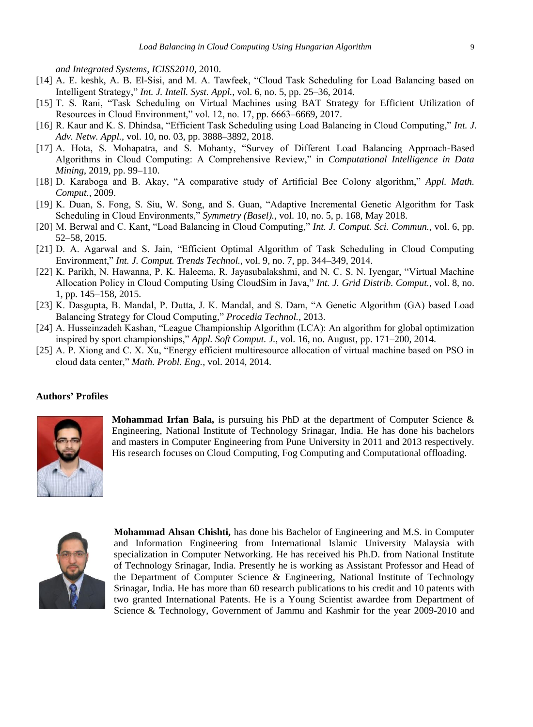*and Integrated Systems, ICISS2010*, 2010.

- [14] A. E. keshk, A. B. El-Sisi, and M. A. Tawfeek, "Cloud Task Scheduling for Load Balancing based on Intelligent Strategy," *Int. J. Intell. Syst. Appl.*, vol. 6, no. 5, pp. 25–36, 2014.
- [15] T. S. Rani, "Task Scheduling on Virtual Machines using BAT Strategy for Efficient Utilization of Resources in Cloud Environment," vol. 12, no. 17, pp. 6663–6669, 2017.
- [16] R. Kaur and K. S. Dhindsa, "Efficient Task Scheduling using Load Balancing in Cloud Computing," *Int. J. Adv. Netw. Appl.*, vol. 10, no. 03, pp. 3888–3892, 2018.
- [17] A. Hota, S. Mohapatra, and S. Mohanty, "Survey of Different Load Balancing Approach-Based Algorithms in Cloud Computing: A Comprehensive Review," in *Computational Intelligence in Data Mining*, 2019, pp. 99–110.
- [18] D. Karaboga and B. Akay, "A comparative study of Artificial Bee Colony algorithm," *Appl. Math. Comput.*, 2009.
- [19] K. Duan, S. Fong, S. Siu, W. Song, and S. Guan, "Adaptive Incremental Genetic Algorithm for Task Scheduling in Cloud Environments," *Symmetry (Basel).*, vol. 10, no. 5, p. 168, May 2018.
- [20] M. Berwal and C. Kant, "Load Balancing in Cloud Computing," *Int. J. Comput. Sci. Commun.*, vol. 6, pp. 52–58, 2015.
- [21] D. A. Agarwal and S. Jain, "Efficient Optimal Algorithm of Task Scheduling in Cloud Computing Environment," *Int. J. Comput. Trends Technol.*, vol. 9, no. 7, pp. 344–349, 2014.
- [22] K. Parikh, N. Hawanna, P. K. Haleema, R. Jayasubalakshmi, and N. C. S. N. Iyengar, "Virtual Machine Allocation Policy in Cloud Computing Using CloudSim in Java," *Int. J. Grid Distrib. Comput.*, vol. 8, no. 1, pp. 145–158, 2015.
- [23] K. Dasgupta, B. Mandal, P. Dutta, J. K. Mandal, and S. Dam, "A Genetic Algorithm (GA) based Load Balancing Strategy for Cloud Computing," *Procedia Technol.*, 2013.
- [24] A. Husseinzadeh Kashan, "League Championship Algorithm (LCA): An algorithm for global optimization inspired by sport championships," *Appl. Soft Comput. J.*, vol. 16, no. August, pp. 171–200, 2014.
- [25] A. P. Xiong and C. X. Xu, "Energy efficient multiresource allocation of virtual machine based on PSO in cloud data center," *Math. Probl. Eng.*, vol. 2014, 2014.

## **Authors' Profiles**



**Mohammad Irfan Bala,** is pursuing his PhD at the department of Computer Science & Engineering, National Institute of Technology Srinagar, India. He has done his bachelors and masters in Computer Engineering from Pune University in 2011 and 2013 respectively. His research focuses on Cloud Computing, Fog Computing and Computational offloading.



**Mohammad Ahsan Chishti,** has done his Bachelor of Engineering and M.S. in Computer and Information Engineering from International Islamic University Malaysia with specialization in Computer Networking. He has received his Ph.D. from National Institute of Technology Srinagar, India. Presently he is working as Assistant Professor and Head of the Department of Computer Science & Engineering, National Institute of Technology Srinagar, India. He has more than 60 research publications to his credit and 10 patents with two granted International Patents. He is a Young Scientist awardee from Department of Science & Technology, Government of Jammu and Kashmir for the year 2009-2010 and